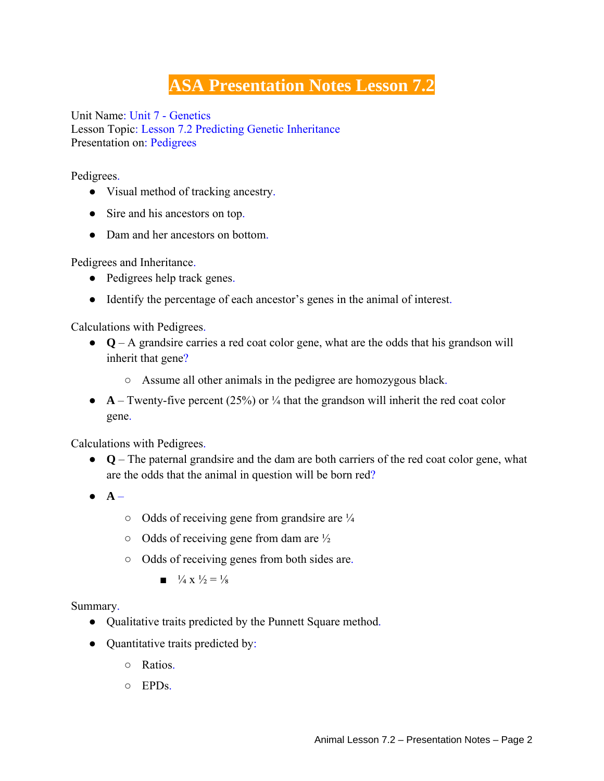## **ASA Presentation Notes Lesson 7.2**

Unit Name: Unit 7 - Genetics Lesson Topic: Lesson 7.2 Predicting Genetic Inheritance Presentation on: Pedigrees

Pedigrees.

- Visual method of tracking ancestry.
- Sire and his ancestors on top.
- Dam and her ancestors on bottom.

Pedigrees and Inheritance.

- Pedigrees help track genes.
- Identify the percentage of each ancestor's genes in the animal of interest.

Calculations with Pedigrees.

- **Q** A grandsire carries a red coat color gene, what are the odds that his grandson will inherit that gene?
	- Assume all other animals in the pedigree are homozygous black.
- $\bullet$  **A** Twenty-five percent (25%) or  $\frac{1}{4}$  that the grandson will inherit the red coat color gene.

Calculations with Pedigrees.

- **Q** The paternal grandsire and the dam are both carriers of the red coat color gene, what are the odds that the animal in question will be born red?
- **A**
	- $\circ$  Odds of receiving gene from grandsire are  $\frac{1}{4}$
	- $\circ$  Odds of receiving gene from dam are  $\frac{1}{2}$
	- Odds of receiving genes from both sides are.
		- $\blacksquare$   $\frac{1}{4}$  X  $\frac{1}{2}$  =  $\frac{1}{8}$

Summary.

- Qualitative traits predicted by the Punnett Square method.
- Quantitative traits predicted by:
	- Ratios.
	- $\circ$  EPDs.